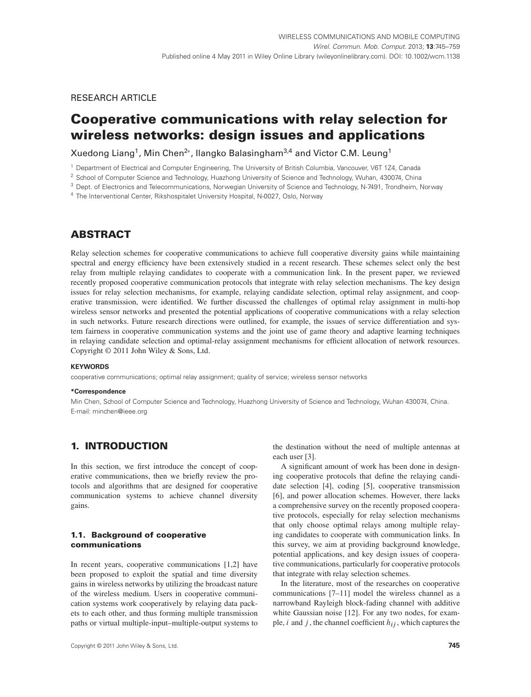RESEARCH ARTICLE

# **Cooperative communications with relay selection for wireless networks: design issues and applications**

Xuedong Liang<sup>1</sup>, Min Chen<sup>2\*</sup>, Ilangko Balasingham<sup>3,4</sup> and Victor C.M. Leung<sup>1</sup>

<sup>1</sup> Department of Electrical and Computer Engineering, The University of British Columbia, Vancouver, V6T 1Z4, Canada

<sup>2</sup> School of Computer Science and Technology, Huazhong University of Science and Technology, Wuhan, 430074, China

<sup>3</sup> Dept. of Electronics and Telecommunications, Norwegian University of Science and Technology, N-7491, Trondheim, Norway

<sup>4</sup> The Interventional Center, Rikshospitalet University Hospital, N-0027, Oslo, Norway

# **ABSTRACT**

Relay selection schemes for cooperative communications to achieve full cooperative diversity gains while maintaining spectral and energy efficiency have been extensively studied in a recent research. These schemes select only the best relay from multiple relaying candidates to cooperate with a communication link. In the present paper, we reviewed recently proposed cooperative communication protocols that integrate with relay selection mechanisms. The key design issues for relay selection mechanisms, for example, relaying candidate selection, optimal relay assignment, and cooperative transmission, were identified. We further discussed the challenges of optimal relay assignment in multi-hop wireless sensor networks and presented the potential applications of cooperative communications with a relay selection in such networks. Future research directions were outlined, for example, the issues of service differentiation and system fairness in cooperative communication systems and the joint use of game theory and adaptive learning techniques in relaying candidate selection and optimal-relay assignment mechanisms for efficient allocation of network resources. Copyright © 2011 John Wiley & Sons, Ltd.

#### **KEYWORDS**

cooperative communications; optimal relay assignment; quality of service; wireless sensor networks

#### **\*Correspondence**

Min Chen, School of Computer Science and Technology, Huazhong University of Science and Technology, Wuhan 430074, China. E-mail: minchen@ieee.org

# **1. INTRODUCTION**

In this section, we first introduce the concept of cooperative communications, then we briefly review the protocols and algorithms that are designed for cooperative communication systems to achieve channel diversity gains.

### **1.1. Background of cooperative communications**

In recent years, cooperative communications [1,2] have been proposed to exploit the spatial and time diversity gains in wireless networks by utilizing the broadcast nature of the wireless medium. Users in cooperative communication systems work cooperatively by relaying data packets to each other, and thus forming multiple transmission paths or virtual multiple-input–multiple-output systems to the destination without the need of multiple antennas at each user [3].

A significant amount of work has been done in designing cooperative protocols that define the relaying candidate selection [4], coding [5], cooperative transmission [6], and power allocation schemes. However, there lacks a comprehensive survey on the recently proposed cooperative protocols, especially for relay selection mechanisms that only choose optimal relays among multiple relaying candidates to cooperate with communication links. In this survey, we aim at providing background knowledge, potential applications, and key design issues of cooperative communications, particularly for cooperative protocols that integrate with relay selection schemes.

In the literature, most of the researches on cooperative communications [7–11] model the wireless channel as a narrowband Rayleigh block-fading channel with additive white Gaussian noise [12]. For any two nodes, for example, i and j, the channel coefficient  $h_{ij}$ , which captures the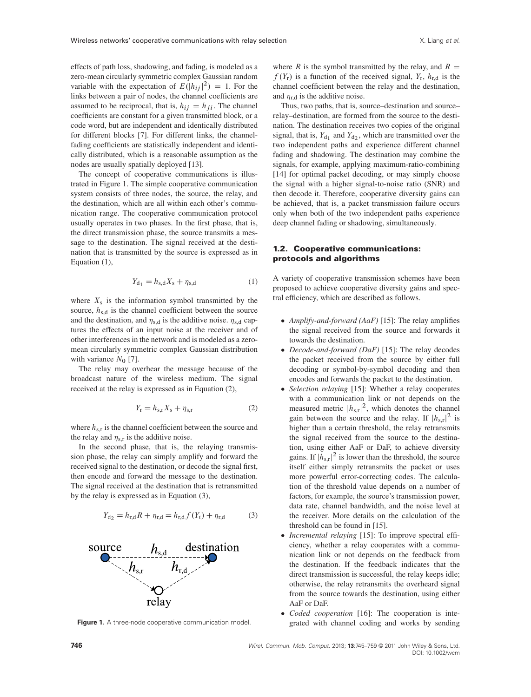effects of path loss, shadowing, and fading, is modeled as a zero-mean circularly symmetric complex Gaussian random variable with the expectation of  $E(|h_{ij}|^2) = 1$ . For the links between a pair of nodes, the channel coefficients are assumed to be reciprocal, that is,  $h_{ij} = h_{ji}$ . The channel coefficients are constant for a given transmitted block, or a code word, but are independent and identically distributed for different blocks [7]. For different links, the channelfading coefficients are statistically independent and identically distributed, which is a reasonable assumption as the nodes are usually spatially deployed [13].

The concept of cooperative communications is illustrated in Figure 1. The simple cooperative communication system consists of three nodes, the source, the relay, and the destination, which are all within each other's communication range. The cooperative communication protocol usually operates in two phases. In the first phase, that is, the direct transmission phase, the source transmits a message to the destination. The signal received at the destination that is transmitted by the source is expressed as in Equation (1),

$$
Y_{d_1} = h_{s,d} X_s + \eta_{s,d} \tag{1}
$$

where  $X_s$  is the information symbol transmitted by the source,  $h_{s,d}$  is the channel coefficient between the source and the destination, and  $\eta_{s,d}$  is the additive noise.  $\eta_{s,d}$  captures the effects of an input noise at the receiver and of other interferences in the network and is modeled as a zeromean circularly symmetric complex Gaussian distribution with variance  $N_0$  [7].

The relay may overhear the message because of the broadcast nature of the wireless medium. The signal received at the relay is expressed as in Equation (2),

$$
Y_{\rm r} = h_{\rm s,r} X_{\rm s} + \eta_{\rm s,r} \tag{2}
$$

where  $h_{s,r}$  is the channel coefficient between the source and the relay and  $\eta_{s,r}$  is the additive noise.

In the second phase, that is, the relaying transmission phase, the relay can simply amplify and forward the received signal to the destination, or decode the signal first, then encode and forward the message to the destination. The signal received at the destination that is retransmitted by the relay is expressed as in Equation (3),

$$
Y_{d_2} = h_{r,d} R + \eta_{r,d} = h_{r,d} f(Y_r) + \eta_{r,d} \tag{3}
$$



**Figure 1.** A three-node cooperative communication model.

where R is the symbol transmitted by the relay, and  $R =$  $f(Y_r)$  is a function of the received signal,  $Y_r$ ,  $h_{rd}$  is the channel coefficient between the relay and the destination, and  $\eta_{r,d}$  is the additive noise.

Thus, two paths, that is, source–destination and source– relay–destination, are formed from the source to the destination. The destination receives two copies of the original signal, that is,  $Y_{d_1}$  and  $Y_{d_2}$ , which are transmitted over the two independent paths and experience different channel fading and shadowing. The destination may combine the signals, for example, applying maximum-ratio-combining [14] for optimal packet decoding, or may simply choose the signal with a higher signal-to-noise ratio (SNR) and then decode it. Therefore, cooperative diversity gains can be achieved, that is, a packet transmission failure occurs only when both of the two independent paths experience deep channel fading or shadowing, simultaneously.

### **1.2. Cooperative communications: protocols and algorithms**

A variety of cooperative transmission schemes have been proposed to achieve cooperative diversity gains and spectral efficiency, which are described as follows.

- Amplify-and-forward (AaF) [15]: The relay amplifies the signal received from the source and forwards it towards the destination.
- *Decode-and-forward (DaF)* [15]: The relay decodes the packet received from the source by either full decoding or symbol-by-symbol decoding and then encodes and forwards the packet to the destination.
- $\bullet$  *Selection relaying* [15]: Whether a relay cooperates with a communication link or not depends on the measured metric  $|h_{s,r}|^2$ , which denotes the channel gain between the source and the relay. If  $|h_{s,r}|^2$  is higher than a certain threshold, the relay retransmits the signal received from the source to the destination, using either AaF or DaF, to achieve diversity gains. If  $|h_{s,r}|^2$  is lower than the threshold, the source itself either simply retransmits the packet or uses more powerful error-correcting codes. The calculation of the threshold value depends on a number of factors, for example, the source's transmission power, data rate, channel bandwidth, and the noise level at the receiver. More details on the calculation of the threshold can be found in [15].
- $\bullet$  *Incremental relaying* [15]: To improve spectral efficiency, whether a relay cooperates with a communication link or not depends on the feedback from the destination. If the feedback indicates that the direct transmission is successful, the relay keeps idle; otherwise, the relay retransmits the overheard signal from the source towards the destination, using either AaF or DaF.
- *Coded cooperation* [16]: The cooperation is integrated with channel coding and works by sending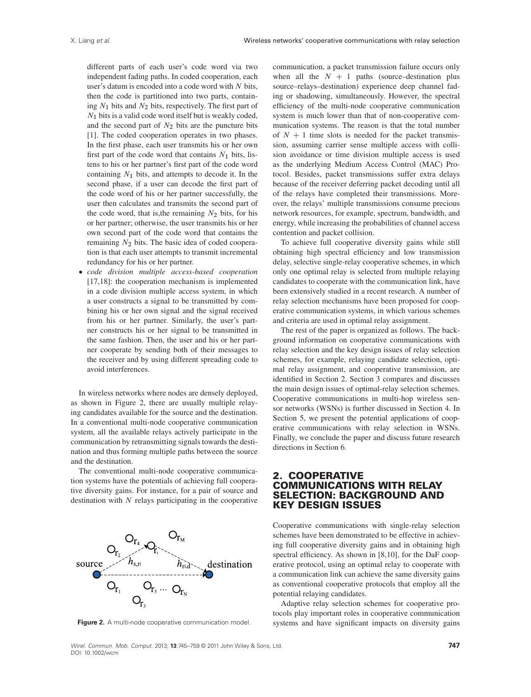different parts of each user's code word via two independent fading paths. In coded cooperation, each user's datum is encoded into a code word with  $N$  bits, then the code is partitioned into two parts, containing  $N_1$  bits and  $N_2$  bits, respectively. The first part of  $N_1$  bits is a valid code word itself but is weakly coded, and the second part of  $N_2$  bits are the puncture bits [1]. The coded cooperation operates in two phases. In the first phase, each user transmits his or her own first part of the code word that contains  $N_1$  bits, listens to his or her partner's first part of the code word containing  $N_1$  bits, and attempts to decode it. In the second phase, if a user can decode the first part of the code word of his or her partner successfully, the user then calculates and transmits the second part of the code word, that is, the remaining  $N_2$  bits, for his or her partner; otherwise, the user transmits his or her own second part of the code word that contains the remaining  $N_2$  bits. The basic idea of coded cooperation is that each user attempts to transmit incremental redundancy for his or her partner.

- *code division multiple access-based cooperation* [17,18]: the cooperation mechanism is implemented in a code division multiple access system, in which a user constructs a signal to be transmitted by combining his or her own signal and the signal received from his or her partner. Similarly, the user's partner constructs his or her signal to be transmitted in the same fashion. Then, the user and his or her partner cooperate by sending both of their messages to the receiver and by using different spreading code to avoid interferences.

In wireless networks where nodes are densely deployed, as shown in Figure 2, there are usually multiple relaying candidates available for the source and the destination. In a conventional multi-node cooperative communication system, all the available relays actively participate in the communication by retransmitting signals towards the destination and thus forming multiple paths between the source and the destination.

The conventional multi-node cooperative communication systems have the potentials of achieving full cooperative diversity gains. For instance, for a pair of source and destination with  $N$  relays participating in the cooperative



**Figure 2.** A multi-node cooperative communication model.

communication, a packet transmission failure occurs only when all the  $N + 1$  paths (source–destination plus source–relays–destination) experience deep channel fading or shadowing, simultaneously. However, the spectral efficiency of the multi-node cooperative communication system is much lower than that of non-cooperative communication systems. The reason is that the total number of  $N + 1$  time slots is needed for the packet transmission, assuming carrier sense multiple access with collision avoidance or time division multiple access is used as the underlying Medium Access Control (MAC) Protocol. Besides, packet transmissions suffer extra delays because of the receiver deferring packet decoding until all of the relays have completed their transmissions. Moreover, the relays' multiple transmissions consume precious network resources, for example, spectrum, bandwidth, and energy, while increasing the probabilities of channel access contention and packet collision.

To achieve full cooperative diversity gains while still obtaining high spectral efficiency and low transmission delay, selective single-relay cooperative schemes, in which only one optimal relay is selected from multiple relaying candidates to cooperate with the communication link, have been extensively studied in a recent research. A number of relay selection mechanisms have been proposed for cooperative communication systems, in which various schemes and criteria are used in optimal relay assignment.

The rest of the paper is organized as follows. The background information on cooperative communications with relay selection and the key design issues of relay selection schemes, for example, relaying candidate selection, optimal relay assignment, and cooperative transmission, are identified in Section 2. Section 3 compares and discusses the main design issues of optimal-relay selection schemes. Cooperative communications in multi-hop wireless sensor networks (WSNs) is further discussed in Section 4. In Section 5, we present the potential applications of cooperative communications with relay selection in WSNs. Finally, we conclude the paper and discuss future research directions in Section 6.

# **2. COOPERATIVE COMMUNICATIONS WITH RELAY SELECTION: BACKGROUND AND KEY DESIGN ISSUES**

Cooperative communications with single-relay selection schemes have been demonstrated to be effective in achieving full cooperative diversity gains and in obtaining high spectral efficiency. As shown in [8,10], for the DaF cooperative protocol, using an optimal relay to cooperate with a communication link can achieve the same diversity gains as conventional cooperative protocols that employ all the potential relaying candidates.

Adaptive relay selection schemes for cooperative protocols play important roles in cooperative communication systems and have significant impacts on diversity gains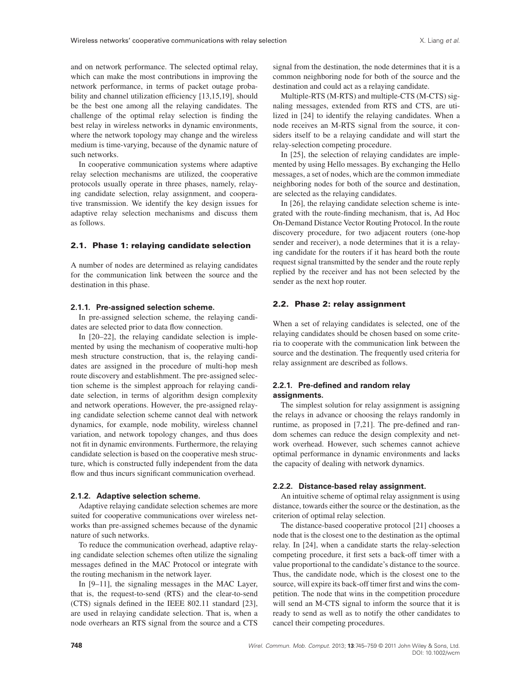and on network performance. The selected optimal relay, which can make the most contributions in improving the network performance, in terms of packet outage probability and channel utilization efficiency [13,15,19], should be the best one among all the relaying candidates. The challenge of the optimal relay selection is finding the best relay in wireless networks in dynamic environments, where the network topology may change and the wireless medium is time-varying, because of the dynamic nature of such networks.

In cooperative communication systems where adaptive relay selection mechanisms are utilized, the cooperative protocols usually operate in three phases, namely, relaying candidate selection, relay assignment, and cooperative transmission. We identify the key design issues for adaptive relay selection mechanisms and discuss them as follows.

#### **2.1. Phase 1: relaying candidate selection**

A number of nodes are determined as relaying candidates for the communication link between the source and the destination in this phase.

#### **2.1.1. Pre-assigned selection scheme.**

In pre-assigned selection scheme, the relaying candidates are selected prior to data flow connection.

In [20–22], the relaying candidate selection is implemented by using the mechanism of cooperative multi-hop mesh structure construction, that is, the relaying candidates are assigned in the procedure of multi-hop mesh route discovery and establishment. The pre-assigned selection scheme is the simplest approach for relaying candidate selection, in terms of algorithm design complexity and network operations. However, the pre-assigned relaying candidate selection scheme cannot deal with network dynamics, for example, node mobility, wireless channel variation, and network topology changes, and thus does not fit in dynamic environments. Furthermore, the relaying candidate selection is based on the cooperative mesh structure, which is constructed fully independent from the data flow and thus incurs significant communication overhead.

#### **2.1.2. Adaptive selection scheme.**

Adaptive relaying candidate selection schemes are more suited for cooperative communications over wireless networks than pre-assigned schemes because of the dynamic nature of such networks.

To reduce the communication overhead, adaptive relaying candidate selection schemes often utilize the signaling messages defined in the MAC Protocol or integrate with the routing mechanism in the network layer.

In [9–11], the signaling messages in the MAC Layer, that is, the request-to-send (RTS) and the clear-to-send (CTS) signals defined in the IEEE 802.11 standard [23], are used in relaying candidate selection. That is, when a node overhears an RTS signal from the source and a CTS signal from the destination, the node determines that it is a common neighboring node for both of the source and the destination and could act as a relaying candidate.

Multiple-RTS (M-RTS) and multiple-CTS (M-CTS) signaling messages, extended from RTS and CTS, are utilized in [24] to identify the relaying candidates. When a node receives an M-RTS signal from the source, it considers itself to be a relaying candidate and will start the relay-selection competing procedure.

In [25], the selection of relaying candidates are implemented by using Hello messages. By exchanging the Hello messages, a set of nodes, which are the common immediate neighboring nodes for both of the source and destination, are selected as the relaying candidates.

In [26], the relaying candidate selection scheme is integrated with the route-finding mechanism, that is, Ad Hoc On-Demand Distance Vector Routing Protocol. In the route discovery procedure, for two adjacent routers (one-hop sender and receiver), a node determines that it is a relaying candidate for the routers if it has heard both the route request signal transmitted by the sender and the route reply replied by the receiver and has not been selected by the sender as the next hop router.

### **2.2. Phase 2: relay assignment**

When a set of relaying candidates is selected, one of the relaying candidates should be chosen based on some criteria to cooperate with the communication link between the source and the destination. The frequently used criteria for relay assignment are described as follows.

### **2.2.1. Pre-defined and random relay assignments.**

The simplest solution for relay assignment is assigning the relays in advance or choosing the relays randomly in runtime, as proposed in [7,21]. The pre-defined and random schemes can reduce the design complexity and network overhead. However, such schemes cannot achieve optimal performance in dynamic environments and lacks the capacity of dealing with network dynamics.

#### **2.2.2. Distance-based relay assignment.**

An intuitive scheme of optimal relay assignment is using distance, towards either the source or the destination, as the criterion of optimal relay selection.

The distance-based cooperative protocol [21] chooses a node that is the closest one to the destination as the optimal relay. In [24], when a candidate starts the relay-selection competing procedure, it first sets a back-off timer with a value proportional to the candidate's distance to the source. Thus, the candidate node, which is the closest one to the source, will expire its back-off timer first and wins the competition. The node that wins in the competition procedure will send an M-CTS signal to inform the source that it is ready to send as well as to notify the other candidates to cancel their competing procedures.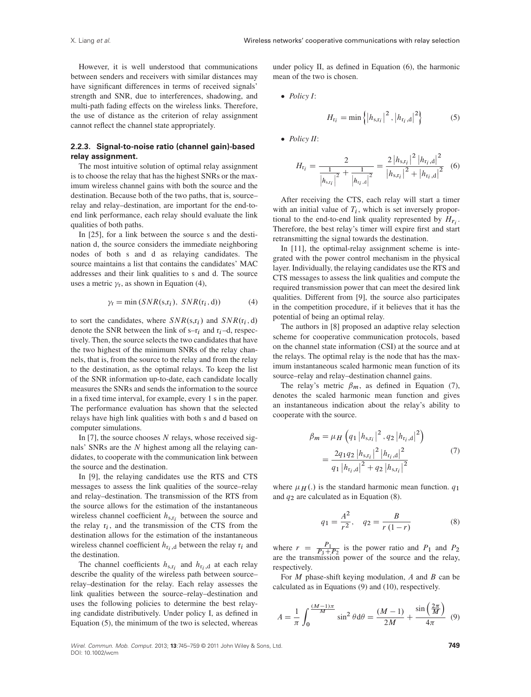However, it is well understood that communications between senders and receivers with similar distances may have significant differences in terms of received signals' strength and SNR, due to interferences, shadowing, and multi-path fading effects on the wireless links. Therefore, the use of distance as the criterion of relay assignment cannot reflect the channel state appropriately.

### **2.2.3. Signal-to-noise ratio (channel gain)-based relay assignment.**

The most intuitive solution of optimal relay assignment is to choose the relay that has the highest SNRs or the maximum wireless channel gains with both the source and the destination. Because both of the two paths, that is, source– relay and relay–destination, are important for the end-toend link performance, each relay should evaluate the link qualities of both paths.

In [25], for a link between the source s and the destination d, the source considers the immediate neighboring nodes of both s and d as relaying candidates. The source maintains a list that contains the candidates' MAC addresses and their link qualities to s and d. The source uses a metric  $\gamma_r$ , as shown in Equation (4),

$$
\gamma_{\rm r} = \min\left(SNR(s,\mathbf{r}_i), \; SNR(\mathbf{r}_i, \mathbf{d})\right) \tag{4}
$$

to sort the candidates, where  $SNR(s,r_i)$  and  $SNR(r_i, d)$ denote the SNR between the link of  $s-r_i$  and  $r_i-d$ , respectively. Then, the source selects the two candidates that have the two highest of the minimum SNRs of the relay channels, that is, from the source to the relay and from the relay to the destination, as the optimal relays. To keep the list of the SNR information up-to-date, each candidate locally measures the SNRs and sends the information to the source in a fixed time interval, for example, every 1 s in the paper. The performance evaluation has shown that the selected relays have high link qualities with both s and d based on computer simulations.

In  $[7]$ , the source chooses N relays, whose received signals' SNRs are the N highest among all the relaying candidates, to cooperate with the communication link between the source and the destination.

In [9], the relaying candidates use the RTS and CTS messages to assess the link qualities of the source–relay and relay–destination. The transmission of the RTS from the source allows for the estimation of the instantaneous wireless channel coefficient  $h_{s,r_i}$  between the source and the relay  $r_i$ , and the transmission of the CTS from the destination allows for the estimation of the instantaneous wireless channel coefficient  $h_{r_i,d}$  between the relay  $r_i$  and the destination.

The channel coefficients  $h_{s,r_i}$  and  $h_{r_i,d}$  at each relay describe the quality of the wireless path between source– relay–destination for the relay. Each relay assesses the link qualities between the source–relay–destination and uses the following policies to determine the best relaying candidate distributively. Under policy I, as defined in Equation (5), the minimum of the two is selected, whereas

under policy II, as defined in Equation (6), the harmonic mean of the two is chosen.

- *Policy I*:

$$
H_{\rm r_{\it i}} = \min \left\{ \left| h_{{\rm s}, {\rm r}_{\it i}} \right|^2, \left| h_{{\rm r}_{\it i}, {\rm d}} \right|^2 \right\} \tag{5}
$$

- *Policy II*:

$$
H_{\rm r_{\it i}} = \frac{2}{\left| h_{\rm s, r_{\it i}} \right|^2 + \frac{1}{\left| h_{\rm r_{\it i}, d} \right|^2}} = \frac{2 \left| h_{\rm s, r_{\it i}} \right|^2 \left| h_{\rm r_{\it i}, d} \right|^2}{\left| h_{\rm s, r_{\it i}} \right|^2 + \left| h_{\rm r_{\it i}, d} \right|^2} \tag{6}
$$

After receiving the CTS, each relay will start a timer with an initial value of  $T_i$ , which is set inversely proportional to the end-to-end link quality represented by  $H_{r_i}$ . Therefore, the best relay's timer will expire first and start retransmitting the signal towards the destination.

In [11], the optimal-relay assignment scheme is integrated with the power control mechanism in the physical layer. Individually, the relaying candidates use the RTS and CTS messages to assess the link qualities and compute the required transmission power that can meet the desired link qualities. Different from [9], the source also participates in the competition procedure, if it believes that it has the potential of being an optimal relay.

The authors in [8] proposed an adaptive relay selection scheme for cooperative communication protocols, based on the channel state information (CSI) at the source and at the relays. The optimal relay is the node that has the maximum instantaneous scaled harmonic mean function of its source–relay and relay–destination channel gains.

The relay's metric  $\beta_m$ , as defined in Equation (7), denotes the scaled harmonic mean function and gives an instantaneous indication about the relay's ability to cooperate with the source.

$$
\beta_m = \mu_H \left( q_1 \left| h_{s,r_i} \right|^2, q_2 \left| h_{r_i, d} \right|^2 \right)
$$
  
= 
$$
\frac{2q_1 q_2 \left| h_{s,r_i} \right|^2 \left| h_{r_i, d} \right|^2}{q_1 \left| h_{r_i, d} \right|^2 + q_2 \left| h_{s,r_i} \right|^2}
$$
(7)

where  $\mu_H(.)$  is the standard harmonic mean function.  $q_1$ and  $q_2$  are calculated as in Equation (8).

$$
q_1 = \frac{A^2}{r^2}, \quad q_2 = \frac{B}{r(1-r)}
$$
 (8)

where  $r = \frac{P_1}{P_1 + P_2}$  is the power ratio and  $P_1$  and  $P_2$ are the transmission power of the source and the relay, respectively.

For  $M$  phase-shift keying modulation,  $A$  and  $B$  can be calculated as in Equations (9) and (10), respectively.

$$
A = \frac{1}{\pi} \int_0^{\frac{(M-1)\pi}{M}} \sin^2 \theta \, d\theta = \frac{(M-1)}{2M} + \frac{\sin\left(\frac{2\pi}{M}\right)}{4\pi} \tag{9}
$$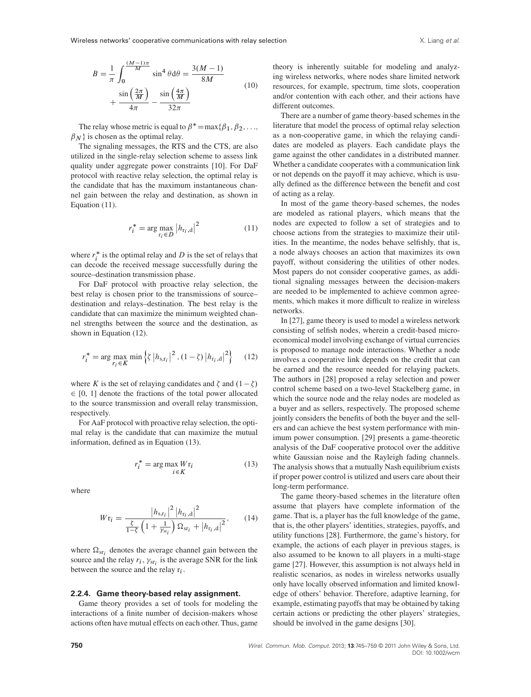$$
B = \frac{1}{\pi} \int_0^{\frac{(M-1)\pi}{M}} \sin^4 \theta \, d\theta = \frac{3(M-1)}{8M} + \frac{\sin\left(\frac{2\pi}{M}\right)}{4\pi} - \frac{\sin\left(\frac{4\pi}{M}\right)}{32\pi}
$$
(10)

The relay whose metric is equal to  $\beta^* = \max{\{\beta_1, \beta_2, \ldots\}}$  $\beta_N$ } is chosen as the optimal relay.

The signaling messages, the RTS and the CTS, are also utilized in the single-relay selection scheme to assess link quality under aggregate power constraints [10]. For DaF protocol with reactive relay selection, the optimal relay is the candidate that has the maximum instantaneous channel gain between the relay and destination, as shown in Equation (11).

$$
r_i^* = \arg\max_{\mathbf{r}_i \in D} |h_{\mathbf{r}_i, \mathbf{d}}|^2 \tag{11}
$$

where  $r_i^*$  is the optimal relay and D is the set of relays that can decode the received message successfully during the source–destination transmission phase.

For DaF protocol with proactive relay selection, the best relay is chosen prior to the transmissions of source– destination and relays–destination. The best relay is the candidate that can maximize the minimum weighted channel strengths between the source and the destination, as shown in Equation (12).

$$
r_i^* = \arg\max_{r_i \in K} \min \left\{ \zeta |h_{s,r_i}|^2, (1-\zeta) |h_{r_i,d}|^2 \right\} \tag{12}
$$

where K is the set of relaying candidates and  $\zeta$  and  $(1 - \zeta)$  $\in$  [0, 1] denote the fractions of the total power allocated to the source transmission and overall relay transmission, respectively.

For AaF protocol with proactive relay selection, the optimal relay is the candidate that can maximize the mutual information, defined as in Equation (13).

$$
r_i^* = \underset{i \in K}{\text{arg max }} W r_i \tag{13}
$$

where

$$
W_{\rm T} = \frac{|h_{\rm S, r_{i}}|^2 |h_{\rm r_{i}, d}|^2}{\frac{\zeta}{1 - \zeta} \left(1 + \frac{1}{\gamma_{\rm sr_{i}}}\right) \Omega_{\rm sr_{i}} + |h_{\rm r_{i}, d}|^2},\qquad(14)
$$

where  $\Omega_{\rm sr}$  denotes the average channel gain between the source and the relay  $r_i$ ,  $\gamma_{sr_i}$  is the average SNR for the link between the source and the relay  $r_i$ .

#### **2.2.4. Game theory-based relay assignment.**

Game theory provides a set of tools for modeling the interactions of a finite number of decision-makers whose actions often have mutual effects on each other. Thus, game theory is inherently suitable for modeling and analyzing wireless networks, where nodes share limited network resources, for example, spectrum, time slots, cooperation and/or contention with each other, and their actions have different outcomes.

There are a number of game theory-based schemes in the literature that model the process of optimal relay selection as a non-cooperative game, in which the relaying candidates are modeled as players. Each candidate plays the game against the other candidates in a distributed manner. Whether a candidate cooperates with a communication link or not depends on the payoff it may achieve, which is usually defined as the difference between the benefit and cost of acting as a relay.

In most of the game theory-based schemes, the nodes are modeled as rational players, which means that the nodes are expected to follow a set of strategies and to choose actions from the strategies to maximize their utilities. In the meantime, the nodes behave selfishly, that is, a node always chooses an action that maximizes its own payoff, without considering the utilities of other nodes. Most papers do not consider cooperative games, as additional signaling messages between the decision-makers are needed to be implemented to achieve common agreements, which makes it more difficult to realize in wireless networks.

In [27], game theory is used to model a wireless network consisting of selfish nodes, wherein a credit-based microeconomical model involving exchange of virtual currencies is proposed to manage node interactions. Whether a node involves a cooperative link depends on the credit that can be earned and the resource needed for relaying packets. The authors in [28] proposed a relay selection and power control scheme based on a two-level Stackelberg game, in which the source node and the relay nodes are modeled as a buyer and as sellers, respectively. The proposed scheme jointly considers the benefits of both the buyer and the sellers and can achieve the best system performance with minimum power consumption. [29] presents a game-theoretic analysis of the DaF cooperative protocol over the additive white Gaussian noise and the Rayleigh fading channels. The analysis shows that a mutually Nash equilibrium exists if proper power control is utilized and users care about their long-term performance.

The game theory-based schemes in the literature often assume that players have complete information of the game. That is, a player has the full knowledge of the game, that is, the other players' identities, strategies, payoffs, and utility functions [28]. Furthermore, the game's history, for example, the actions of each player in previous stages, is also assumed to be known to all players in a multi-stage game [27]. However, this assumption is not always held in realistic scenarios, as nodes in wireless networks usually only have locally observed information and limited knowledge of others' behavior. Therefore, adaptive learning, for example, estimating payoffs that may be obtained by taking certain actions or predicting the other players' strategies, should be involved in the game designs [30].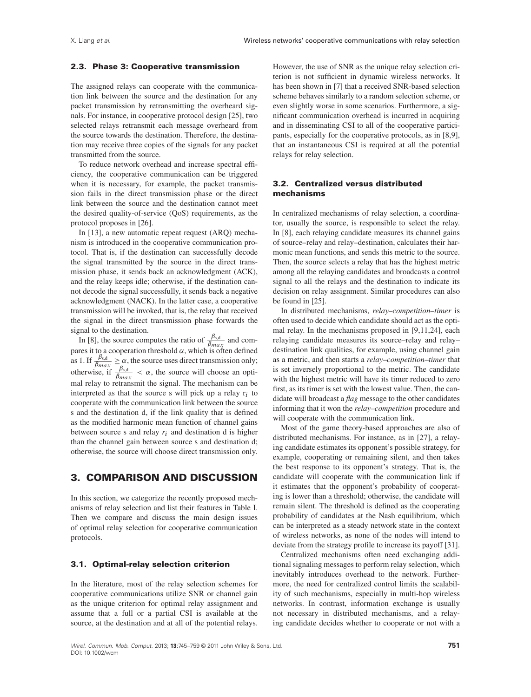### **2.3. Phase 3: Cooperative transmission**

The assigned relays can cooperate with the communication link between the source and the destination for any packet transmission by retransmitting the overheard signals. For instance, in cooperative protocol design [25], two selected relays retransmit each message overheard from the source towards the destination. Therefore, the destination may receive three copies of the signals for any packet transmitted from the source.

To reduce network overhead and increase spectral efficiency, the cooperative communication can be triggered when it is necessary, for example, the packet transmission fails in the direct transmission phase or the direct link between the source and the destination cannot meet the desired quality-of-service (QoS) requirements, as the protocol proposes in [26].

In [13], a new automatic repeat request (ARQ) mechanism is introduced in the cooperative communication protocol. That is, if the destination can successfully decode the signal transmitted by the source in the direct transmission phase, it sends back an acknowledgment (ACK), and the relay keeps idle; otherwise, if the destination cannot decode the signal successfully, it sends back a negative acknowledgment (NACK). In the latter case, a cooperative transmission will be invoked, that is, the relay that received the signal in the direct transmission phase forwards the signal to the destination.

In [8], the source computes the ratio of  $\frac{\beta_{s,d}}{\beta_{max}}$  and compares it to a cooperation threshold  $\alpha$ , which is often defined<br>as 1. If  $\frac{\beta_{s,d}}{\beta_{max}} \geq \alpha$ , the source uses direct transmission only; otherwise, if  $\frac{\beta_{s,d}}{\beta_{max}} < \alpha$ , the source will choose an optimal relay to retransmit the signal. The mechanism can be interpreted as that the source s will pick up a relay  $r_i$  to cooperate with the communication link between the source s and the destination d, if the link quality that is defined as the modified harmonic mean function of channel gains between source s and relay  $r_i$  and destination d is higher than the channel gain between source s and destination d; otherwise, the source will choose direct transmission only.

# **3. COMPARISON AND DISCUSSION**

In this section, we categorize the recently proposed mechanisms of relay selection and list their features in Table I. Then we compare and discuss the main design issues of optimal relay selection for cooperative communication protocols.

### **3.1. Optimal-relay selection criterion**

In the literature, most of the relay selection schemes for cooperative communications utilize SNR or channel gain as the unique criterion for optimal relay assignment and assume that a full or a partial CSI is available at the source, at the destination and at all of the potential relays.

However, the use of SNR as the unique relay selection criterion is not sufficient in dynamic wireless networks. It has been shown in [7] that a received SNR-based selection scheme behaves similarly to a random selection scheme, or even slightly worse in some scenarios. Furthermore, a significant communication overhead is incurred in acquiring and in disseminating CSI to all of the cooperative participants, especially for the cooperative protocols, as in [8,9], that an instantaneous CSI is required at all the potential relays for relay selection.

### **3.2. Centralized versus distributed mechanisms**

In centralized mechanisms of relay selection, a coordinator, usually the source, is responsible to select the relay. In [8], each relaying candidate measures its channel gains of source–relay and relay–destination, calculates their harmonic mean functions, and sends this metric to the source. Then, the source selects a relay that has the highest metric among all the relaying candidates and broadcasts a control signal to all the relays and the destination to indicate its decision on relay assignment. Similar procedures can also be found in [25].

In distributed mechanisms, *relay–competition–timer* is often used to decide which candidate should act as the optimal relay. In the mechanisms proposed in [9,11,24], each relaying candidate measures its source–relay and relay– destination link qualities, for example, using channel gain as a metric, and then starts a *relay–competition–timer* that is set inversely proportional to the metric. The candidate with the highest metric will have its timer reduced to zero first, as its timer is set with the lowest value. Then, the candidate will broadcast a *flag* message to the other candidates informing that it won the *relay–competition* procedure and will cooperate with the communication link.

Most of the game theory-based approaches are also of distributed mechanisms. For instance, as in [27], a relaying candidate estimates its opponent's possible strategy, for example, cooperating or remaining silent, and then takes the best response to its opponent's strategy. That is, the candidate will cooperate with the communication link if it estimates that the opponent's probability of cooperating is lower than a threshold; otherwise, the candidate will remain silent. The threshold is defined as the cooperating probability of candidates at the Nash equilibrium, which can be interpreted as a steady network state in the context of wireless networks, as none of the nodes will intend to deviate from the strategy profile to increase its payoff [31].

Centralized mechanisms often need exchanging additional signaling messages to perform relay selection, which inevitably introduces overhead to the network. Furthermore, the need for centralized control limits the scalability of such mechanisms, especially in multi-hop wireless networks. In contrast, information exchange is usually not necessary in distributed mechanisms, and a relaying candidate decides whether to cooperate or not with a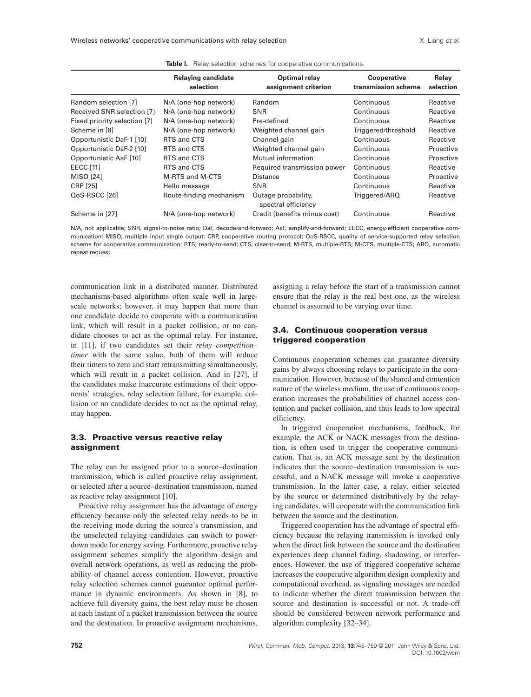|                              | <b>Relaying candidate</b><br>selection | Optimal relay<br>assignment criterion      | Cooperative<br>transmission scheme | Relay<br>selection |
|------------------------------|----------------------------------------|--------------------------------------------|------------------------------------|--------------------|
| Random selection [7]         | N/A (one-hop network)                  | Random                                     | Continuous                         | Reactive           |
| Received SNR selection [7]   | N/A (one-hop network)                  | <b>SNR</b>                                 | Continuous                         | Reactive           |
| Fixed priority selection [7] | N/A (one-hop network)                  | Pre-defined                                | Continuous                         | Reactive           |
| Scheme in [8]                | N/A (one-hop network)                  | Weighted channel gain                      | Triggered/threshold                | Reactive           |
| Opportunistic DaF-1 [10]     | RTS and CTS                            | Channel gain                               | Continuous                         | Reactive           |
| Opportunistic DaF-2 [10]     | RTS and CTS                            | Weighted channel gain                      | Continuous                         | Proactive          |
| Opportunistic AaF [10]       | RTS and CTS                            | Mutual information                         | Continuous                         | Proactive          |
| <b>EECC</b> [11]             | RTS and CTS                            | Required transmission power                | Continuous                         | Reactive           |
| MISO [24]                    | M-RTS and M-CTS                        | <b>Distance</b>                            | Continuous                         | Proactive          |
| CRP [25]                     | Hello message                          | <b>SNR</b>                                 | Continuous                         | Reactive           |
| QoS-RSCC [26]                | Route-finding mechanism                | Outage probability,<br>spectral efficiency | Triggered/ARQ                      | Reactive           |
| Scheme in [27]               | N/A (one-hop network)                  | Credit (benefits minus cost)               | Continuous                         | Reactive           |

**Table I.** Relay selection schemes for cooperative communications.

N/A, not applicable; SNR, signal-to-noise ratio; DaF, decode-and-forward; AaF, amplify-and-forward; EECC, energy-efficient cooperative communication; MISO, multiple input single output; CRP, cooperative routing protocol; QoS-RSCC, quality of service-supported relay selection scheme for cooperative communication; RTS, ready-to-send; CTS, clear-to-send; M-RTS, multiple-RTS; M-CTS, multiple-CTS; ARQ, automatic repeat request.

communication link in a distributed manner. Distributed mechanisms-based algorithms often scale well in largescale networks; however, it may happen that more than one candidate decide to cooperate with a communication link, which will result in a packet collision, or no candidate chooses to act as the optimal relay. For instance, in [11], if two candidates set their *relay–competition– timer* with the same value, both of them will reduce their timers to zero and start retransmitting simultaneously, which will result in a packet collision. And in [27], if the candidates make inaccurate estimations of their opponents' strategies, relay selection failure, for example, collision or no candidate decides to act as the optimal relay, may happen.

### **3.3. Proactive versus reactive relay assignment**

The relay can be assigned prior to a source–destination transmission, which is called proactive relay assignment, or selected after a source–destination transmission, named as reactive relay assignment [10].

Proactive relay assignment has the advantage of energy efficiency because only the selected relay needs to be in the receiving mode during the source's transmission, and the unselected relaying candidates can switch to powerdown mode for energy saving. Furthermore, proactive relay assignment schemes simplify the algorithm design and overall network operations, as well as reducing the probability of channel access contention. However, proactive relay selection schemes cannot guarantee optimal performance in dynamic environments. As shown in [8], to achieve full diversity gains, the best relay must be chosen at each instant of a packet transmission between the source and the destination. In proactive assignment mechanisms, assigning a relay before the start of a transmission cannot ensure that the relay is the real best one, as the wireless channel is assumed to be varying over time.

### **3.4. Continuous cooperation versus triggered cooperation**

Continuous cooperation schemes can guarantee diversity gains by always choosing relays to participate in the communication. However, because of the shared and contention nature of the wireless medium, the use of continuous cooperation increases the probabilities of channel access contention and packet collision, and thus leads to low spectral efficiency.

In triggered cooperation mechanisms, feedback, for example, the ACK or NACK messages from the destination, is often used to trigger the cooperative communication. That is, an ACK message sent by the destination indicates that the source–destination transmission is successful, and a NACK message will invoke a cooperative transmission. In the latter case, a relay, either selected by the source or determined distributively by the relaying candidates, will cooperate with the communication link between the source and the destination.

Triggered cooperation has the advantage of spectral efficiency because the relaying transmission is invoked only when the direct link between the source and the destination experiences deep channel fading, shadowing, or interferences. However, the use of triggered cooperative scheme increases the cooperative algorithm design complexity and computational overhead, as signaling messages are needed to indicate whether the direct transmission between the source and destination is successful or not. A trade-off should be considered between network performance and algorithm complexity [32–34].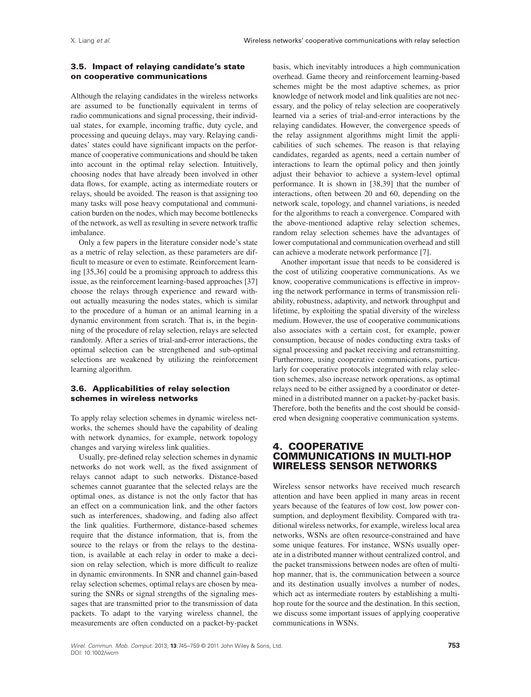### **3.5. Impact of relaying candidate's state on cooperative communications**

Although the relaying candidates in the wireless networks are assumed to be functionally equivalent in terms of radio communications and signal processing, their individual states, for example, incoming traffic, duty cycle, and processing and queuing delays, may vary. Relaying candidates' states could have significant impacts on the performance of cooperative communications and should be taken into account in the optimal relay selection. Intuitively, choosing nodes that have already been involved in other data flows, for example, acting as intermediate routers or relays, should be avoided. The reason is that assigning too many tasks will pose heavy computational and communication burden on the nodes, which may become bottlenecks of the network, as well as resulting in severe network traffic imbalance.

Only a few papers in the literature consider node's state as a metric of relay selection, as these parameters are difficult to measure or even to estimate. Reinforcement learning [35,36] could be a promising approach to address this issue, as the reinforcement learning-based approaches [37] choose the relays through experience and reward without actually measuring the nodes states, which is similar to the procedure of a human or an animal learning in a dynamic environment from scratch. That is, in the beginning of the procedure of relay selection, relays are selected randomly. After a series of trial-and-error interactions, the optimal selection can be strengthened and sub-optimal selections are weakened by utilizing the reinforcement learning algorithm.

### **3.6. Applicabilities of relay selection schemes in wireless networks**

To apply relay selection schemes in dynamic wireless networks, the schemes should have the capability of dealing with network dynamics, for example, network topology changes and varying wireless link qualities.

Usually, pre-defined relay selection schemes in dynamic networks do not work well, as the fixed assignment of relays cannot adapt to such networks. Distance-based schemes cannot guarantee that the selected relays are the optimal ones, as distance is not the only factor that has an effect on a communication link, and the other factors such as interferences, shadowing, and fading also affect the link qualities. Furthermore, distance-based schemes require that the distance information, that is, from the source to the relays or from the relays to the destination, is available at each relay in order to make a decision on relay selection, which is more difficult to realize in dynamic environments. In SNR and channel gain-based relay selection schemes, optimal relays are chosen by measuring the SNRs or signal strengths of the signaling messages that are transmitted prior to the transmission of data packets. To adapt to the varying wireless channel, the measurements are often conducted on a packet-by-packet basis, which inevitably introduces a high communication overhead. Game theory and reinforcement learning-based schemes might be the most adaptive schemes, as prior knowledge of network model and link qualities are not necessary, and the policy of relay selection are cooperatively learned via a series of trial-and-error interactions by the relaying candidates. However, the convergence speeds of the relay assignment algorithms might limit the applicabilities of such schemes. The reason is that relaying candidates, regarded as agents, need a certain number of interactions to learn the optimal policy and then jointly adjust their behavior to achieve a system-level optimal performance. It is shown in [38,39] that the number of interactions, often between 20 and 60, depending on the network scale, topology, and channel variations, is needed for the algorithms to reach a convergence. Compared with the above-mentioned adaptive relay selection schemes, random relay selection schemes have the advantages of lower computational and communication overhead and still can achieve a moderate network performance [7].

Another important issue that needs to be considered is the cost of utilizing cooperative communications. As we know, cooperative communications is effective in improving the network performance in terms of transmission reliability, robustness, adaptivity, and network throughput and lifetime, by exploiting the spatial diversity of the wireless medium. However, the use of cooperative communications also associates with a certain cost, for example, power consumption, because of nodes conducting extra tasks of signal processing and packet receiving and retransmitting. Furthermore, using cooperative communications, particularly for cooperative protocols integrated with relay selection schemes, also increase network operations, as optimal relays need to be either assigned by a coordinator or determined in a distributed manner on a packet-by-packet basis. Therefore, both the benefits and the cost should be considered when designing cooperative communication systems.

# **4. COOPERATIVE COMMUNICATIONS IN MULTI-HOP WIRELESS SENSOR NETWORKS**

Wireless sensor networks have received much research attention and have been applied in many areas in recent years because of the features of low cost, low power consumption, and deployment flexibility. Compared with traditional wireless networks, for example, wireless local area networks, WSNs are often resource-constrained and have some unique features. For instance, WSNs usually operate in a distributed manner without centralized control, and the packet transmissions between nodes are often of multihop manner, that is, the communication between a source and its destination usually involves a number of nodes, which act as intermediate routers by establishing a multihop route for the source and the destination. In this section, we discuss some important issues of applying cooperative communications in WSNs.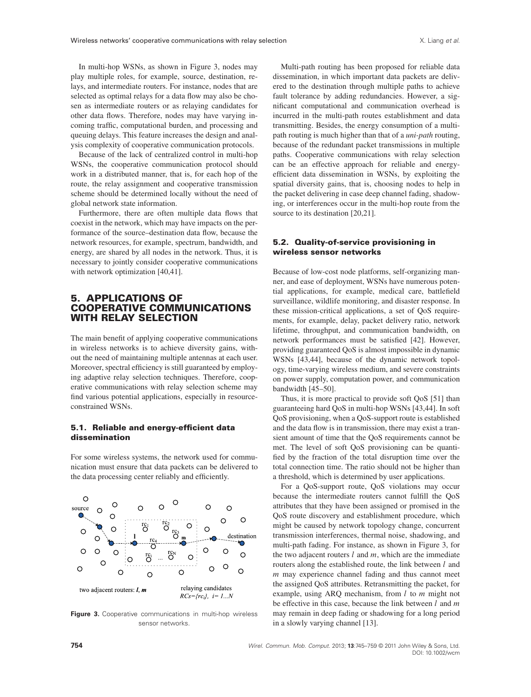In multi-hop WSNs, as shown in Figure 3, nodes may play multiple roles, for example, source, destination, relays, and intermediate routers. For instance, nodes that are selected as optimal relays for a data flow may also be chosen as intermediate routers or as relaying candidates for other data flows. Therefore, nodes may have varying incoming traffic, computational burden, and processing and queuing delays. This feature increases the design and analysis complexity of cooperative communication protocols.

Because of the lack of centralized control in multi-hop WSNs, the cooperative communication protocol should work in a distributed manner, that is, for each hop of the route, the relay assignment and cooperative transmission scheme should be determined locally without the need of global network state information.

Furthermore, there are often multiple data flows that coexist in the network, which may have impacts on the performance of the source–destination data flow, because the network resources, for example, spectrum, bandwidth, and energy, are shared by all nodes in the network. Thus, it is necessary to jointly consider cooperative communications with network optimization [40,41].

## **5. APPLICATIONS OF COOPERATIVE COMMUNICATIONS WITH RELAY SELECTION**

The main benefit of applying cooperative communications in wireless networks is to achieve diversity gains, without the need of maintaining multiple antennas at each user. Moreover, spectral efficiency is still guaranteed by employing adaptive relay selection techniques. Therefore, cooperative communications with relay selection scheme may find various potential applications, especially in resourceconstrained WSNs.

### **5.1. Reliable and energy-efficient data dissemination**

For some wireless systems, the network used for communication must ensure that data packets can be delivered to the data processing center reliably and efficiently.



**Figure 3.** Cooperative communications in multi-hop wireless sensor networks.

Multi-path routing has been proposed for reliable data dissemination, in which important data packets are delivered to the destination through multiple paths to achieve fault tolerance by adding redundancies. However, a significant computational and communication overhead is incurred in the multi-path routes establishment and data transmitting. Besides, the energy consumption of a multipath routing is much higher than that of a *uni-path* routing, because of the redundant packet transmissions in multiple paths. Cooperative communications with relay selection can be an effective approach for reliable and energyefficient data dissemination in WSNs, by exploiting the spatial diversity gains, that is, choosing nodes to help in the packet delivering in case deep channel fading, shadowing, or interferences occur in the multi-hop route from the source to its destination [20,21].

### **5.2. Quality-of-service provisioning in wireless sensor networks**

Because of low-cost node platforms, self-organizing manner, and ease of deployment, WSNs have numerous potential applications, for example, medical care, battlefield surveillance, wildlife monitoring, and disaster response. In these mission-critical applications, a set of QoS requirements, for example, delay, packet delivery ratio, network lifetime, throughput, and communication bandwidth, on network performances must be satisfied [42]. However, providing guaranteed QoS is almost impossible in dynamic WSNs [43,44], because of the dynamic network topology, time-varying wireless medium, and severe constraints on power supply, computation power, and communication bandwidth [45–50].

Thus, it is more practical to provide soft QoS [51] than guaranteeing hard QoS in multi-hop WSNs [43,44]. In soft QoS provisioning, when a QoS-support route is established and the data flow is in transmission, there may exist a transient amount of time that the QoS requirements cannot be met. The level of soft QoS provisioning can be quantified by the fraction of the total disruption time over the total connection time. The ratio should not be higher than a threshold, which is determined by user applications.

For a QoS-support route, QoS violations may occur because the intermediate routers cannot fulfill the QoS attributes that they have been assigned or promised in the QoS route discovery and establishment procedure, which might be caused by network topology change, concurrent transmission interferences, thermal noise, shadowing, and multi-path fading. For instance, as shown in Figure 3, for the two adjacent routers  $l$  and  $m$ , which are the immediate routers along the established route, the link between l and  $m$  may experience channel fading and thus cannot meet the assigned QoS attributes. Retransmitting the packet, for example, using ARQ mechanism, from  $l$  to  $m$  might not be effective in this case, because the link between  $l$  and  $m$ may remain in deep fading or shadowing for a long period in a slowly varying channel [13].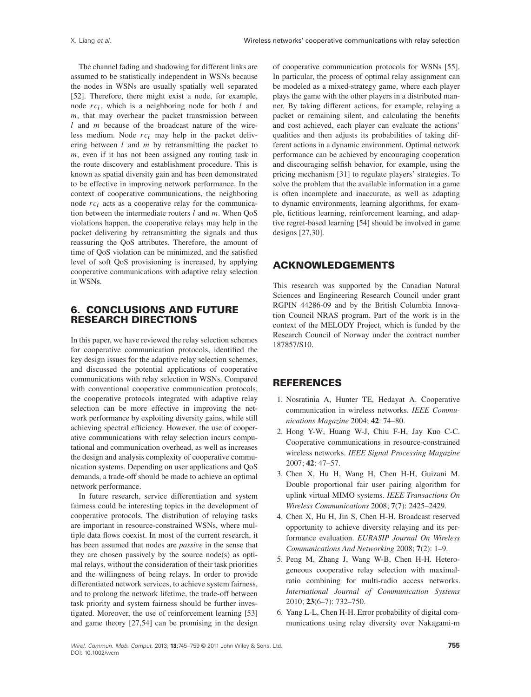The channel fading and shadowing for different links are assumed to be statistically independent in WSNs because the nodes in WSNs are usually spatially well separated [52]. Therefore, there might exist a node, for example, node  $rc_i$ , which is a neighboring node for both  $l$  and  $m$ , that may overhear the packet transmission between  $l$  and  $m$  because of the broadcast nature of the wireless medium. Node  $rc<sub>i</sub>$  may help in the packet delivering between  $l$  and  $m$  by retransmitting the packet to  $m$ , even if it has not been assigned any routing task in the route discovery and establishment procedure. This is known as spatial diversity gain and has been demonstrated to be effective in improving network performance. In the context of cooperative communications, the neighboring node  $rc<sub>i</sub>$  acts as a cooperative relay for the communication between the intermediate routers  $l$  and  $m$ . When  $QoS$ violations happen, the cooperative relays may help in the packet delivering by retransmitting the signals and thus reassuring the QoS attributes. Therefore, the amount of time of QoS violation can be minimized, and the satisfied level of soft QoS provisioning is increased, by applying cooperative communications with adaptive relay selection in WSNs.

# **6. CONCLUSIONS AND FUTURE RESEARCH DIRECTIONS**

In this paper, we have reviewed the relay selection schemes for cooperative communication protocols, identified the key design issues for the adaptive relay selection schemes, and discussed the potential applications of cooperative communications with relay selection in WSNs. Compared with conventional cooperative communication protocols, the cooperative protocols integrated with adaptive relay selection can be more effective in improving the network performance by exploiting diversity gains, while still achieving spectral efficiency. However, the use of cooperative communications with relay selection incurs computational and communication overhead, as well as increases the design and analysis complexity of cooperative communication systems. Depending on user applications and QoS demands, a trade-off should be made to achieve an optimal network performance.

In future research, service differentiation and system fairness could be interesting topics in the development of cooperative protocols. The distribution of relaying tasks are important in resource-constrained WSNs, where multiple data flows coexist. In most of the current research, it has been assumed that nodes are *passive* in the sense that they are chosen passively by the source node(s) as optimal relays, without the consideration of their task priorities and the willingness of being relays. In order to provide differentiated network services, to achieve system fairness, and to prolong the network lifetime, the trade-off between task priority and system fairness should be further investigated. Moreover, the use of reinforcement learning [53] and game theory [27,54] can be promising in the design of cooperative communication protocols for WSNs [55]. In particular, the process of optimal relay assignment can be modeled as a mixed-strategy game, where each player plays the game with the other players in a distributed manner. By taking different actions, for example, relaying a packet or remaining silent, and calculating the benefits and cost achieved, each player can evaluate the actions' qualities and then adjusts its probabilities of taking different actions in a dynamic environment. Optimal network performance can be achieved by encouraging cooperation and discouraging selfish behavior, for example, using the pricing mechanism [31] to regulate players' strategies. To solve the problem that the available information in a game is often incomplete and inaccurate, as well as adapting to dynamic environments, learning algorithms, for example, fictitious learning, reinforcement learning, and adaptive regret-based learning [54] should be involved in game designs [27,30].

# **ACKNOWLEDGEMENTS**

This research was supported by the Canadian Natural Sciences and Engineering Research Council under grant RGPIN 44286-09 and by the British Columbia Innovation Council NRAS program. Part of the work is in the context of the MELODY Project, which is funded by the Research Council of Norway under the contract number 187857/S10.

# **REFERENCES**

- 1. Nosratinia A, Hunter TE, Hedayat A. Cooperative communication in wireless networks. *IEEE Communications Magazine* 2004; **42**: 74–80.
- 2. Hong Y-W, Huang W-J, Chiu F-H, Jay Kuo C-C. Cooperative communications in resource-constrained wireless networks. *IEEE Signal Processing Magazine* 2007; **42**: 47–57.
- 3. Chen X, Hu H, Wang H, Chen H-H, Guizani M. Double proportional fair user pairing algorithm for uplink virtual MIMO systems. *IEEE Transactions On Wireless Communications* 2008; **7**(7): 2425–2429.
- 4. Chen X, Hu H, Jin S, Chen H-H. Broadcast reserved opportunity to achieve diversity relaying and its performance evaluation. *EURASIP Journal On Wireless Communications And Networking* 2008; **7**(2): 1–9.
- 5. Peng M, Zhang J, Wang W-B, Chen H-H. Heterogeneous cooperative relay selection with maximalratio combining for multi-radio access networks. *International Journal of Communication Systems* 2010; **23**(6–7): 732–750.
- 6. Yang L-L, Chen H-H. Error probability of digital communications using relay diversity over Nakagami-m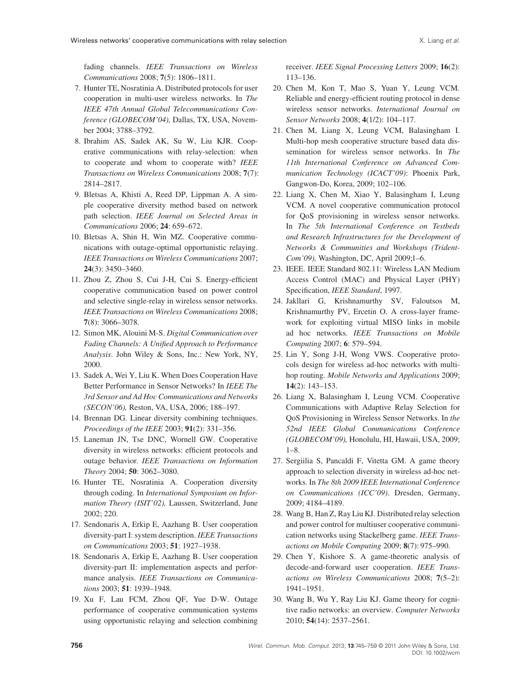fading channels. *IEEE Transactions on Wireless Communications* 2008; **7**(5): 1806–1811.

- 7. Hunter TE, Nosratinia A. Distributed protocols for user cooperation in multi-user wireless networks. In *The IEEE 47th Annual Global Telecommunications Conference (GLOBECOM'04),* Dallas, TX, USA, November 2004; 3788–3792.
- 8. Ibrahim AS, Sadek AK, Su W, Liu KJR. Cooperative communications with relay-selection: when to cooperate and whom to cooperate with? *IEEE Transactions on Wireless Communications* 2008; **7**(7): 2814–2817.
- 9. Bletsas A, Khisti A, Reed DP, Lippman A. A simple cooperative diversity method based on network path selection. *IEEE Journal on Selected Areas in Communications* 2006; **24**: 659–672.
- 10. Bletsas A, Shin H, Win MZ. Cooperative communications with outage-optimal opportunistic relaying. *IEEE Transactions on Wireless Communications* 2007; **24**(3): 3450–3460.
- 11. Zhou Z, Zhou S, Cui J-H, Cui S. Energy-efficient cooperative communication based on power control and selective single-relay in wireless sensor networks. *IEEE Transactions on Wireless Communications* 2008; **7**(8): 3066–3078.
- 12. Simon MK, Alouini M-S. *Digital Communication over Fading Channels: A Unified Approach to Performance Analysis*. John Wiley & Sons, Inc.: New York, NY, 2000.
- 13. Sadek A, Wei Y, Liu K. When Does Cooperation Have Better Performance in Sensor Networks? In *IEEE The 3rd Sensor and Ad Hoc Communications and Networks (SECON'06),* Reston, VA, USA, 2006; 188–197.
- 14. Brennan DG. Linear diversity combining techniques. *Proceedings of the IEEE* 2003; **91**(2): 331–356.
- 15. Laneman JN, Tse DNC, Wornell GW. Cooperative diversity in wireless networks: efficient protocols and outage behavior. *IEEE Transactions on Information Theory* 2004; **50**: 3062–3080.
- 16. Hunter TE, Nosratinia A. Cooperation diversity through coding. In *International Symposium on Information Theory (ISIT'02),* Laussen, Switzerland, June 2002; 220.
- 17. Sendonaris A, Erkip E, Aazhang B. User cooperation diversity-part I: system description. *IEEE Transactions on Communications* 2003; **51**: 1927–1938.
- 18. Sendonaris A, Erkip E, Aazhang B. User cooperation diversity-part II: implementation aspects and performance analysis. *IEEE Transactions on Communications* 2003; **51**: 1939–1948.
- 19. Xu F, Lau FCM, Zhou QF, Yue D-W. Outage performance of cooperative communication systems using opportunistic relaying and selection combining

receiver. *IEEE Signal Processing Letters* 2009; **16**(2): 113–136.

- 20. Chen M, Kon T, Mao S, Yuan Y, Leung VCM. Reliable and energy-efficient routing protocol in dense wireless sensor networks. *International Journal on Sensor Networks* 2008; **4**(1/2): 104–117.
- 21. Chen M, Liang X, Leung VCM, Balasingham I. Multi-hop mesh cooperative structure based data dissemination for wireless sensor networks. In *The 11th International Conference on Advanced Communication Technology (ICACT'09)*: Phoenix Park, Gangwon-Do, Korea, 2009; 102–106.
- 22. Liang X, Chen M, Xiao Y, Balasingham I, Leung VCM. A novel cooperative communication protocol for QoS provisioning in wireless sensor networks. In *The 5th International Conference on Testbeds and Research Infrastructures for the Development of Networks & Communities and Workshops (Trident-Com'09),* Washington, DC, April 2009;1–6.
- 23. IEEE. IEEE Standard 802.11: Wireless LAN Medium Access Control (MAC) and Physical Layer (PHY) Specification, *IEEE Standard*, 1997.
- 24. Jakllari G, Krishnamurthy SV, Faloutsos M, Krishnamurthy PV, Ercetin O. A cross-layer framework for exploiting virtual MISO links in mobile ad hoc networks. *IEEE Transactions on Mobile Computing* 2007; **6**: 579–594.
- 25. Lin Y, Song J-H, Wong VWS. Cooperative protocols design for wireless ad-hoc networks with multihop routing. *Mobile Networks and Applications* 2009; **14**(2): 143–153.
- 26. Liang X, Balasingham I, Leung VCM. Cooperative Communications with Adaptive Relay Selection for QoS Provisioning in Wireless Sensor Networks. In *the 52nd IEEE Global Communications Conference (GLOBECOM'09),* Honolulu, HI, Hawaii, USA, 2009; 1–8.
- 27. Sergiilia S, Pancaldi F, Vitetta GM. A game theory approach to selection diversity in wireless ad-hoc networks. In *The 8th 2009 IEEE International Conference on Communications (ICC'09)*. Dresden, Germany, 2009; 4184–4189.
- 28. Wang B, Han Z, Ray Liu KJ. Distributed relay selection and power control for multiuser cooperative communication networks using Stackelberg game. *IEEE Transactions on Mobile Computing* 2009; **8**(7): 975–990.
- 29. Chen Y, Kishore S. A game-theoretic analysis of decode-and-forward user cooperation. *IEEE Transactions on Wireless Communications* 2008; **7**(5–2): 1941–1951.
- 30. Wang B, Wu Y, Ray Liu KJ. Game theory for cognitive radio networks: an overview. *Computer Networks* 2010; **54**(14): 2537–2561.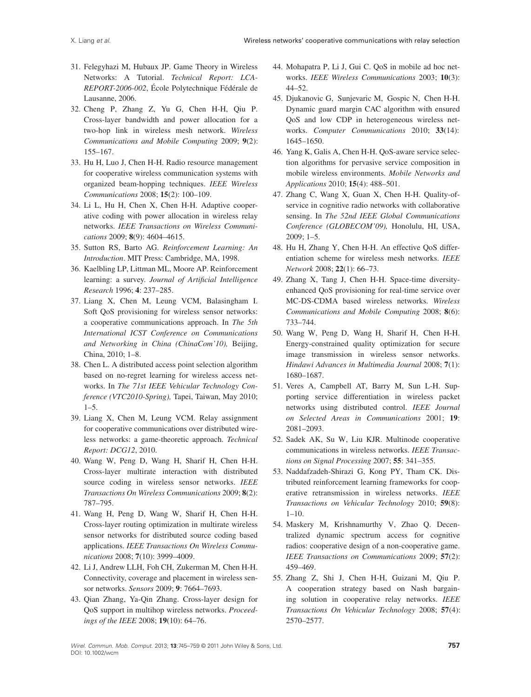- 31. Felegyhazi M, Hubaux JP. Game Theory in Wireless Networks: A Tutorial. *Technical Report: LCA-REPORT-2006-002*, École Polytechnique Fédérale de Lausanne, 2006.
- 32. Cheng P, Zhang Z, Yu G, Chen H-H, Qiu P. Cross-layer bandwidth and power allocation for a two-hop link in wireless mesh network. *Wireless Communications and Mobile Computing* 2009; **9**(2): 155–167.
- 33. Hu H, Luo J, Chen H-H. Radio resource management for cooperative wireless communication systems with organized beam-hopping techniques. *IEEE Wireless Communications* 2008; **15**(2): 100–109.
- 34. Li L, Hu H, Chen X, Chen H-H. Adaptive cooperative coding with power allocation in wireless relay networks. *IEEE Transactions on Wireless Communications* 2009; **8**(9): 4604–4615.
- 35. Sutton RS, Barto AG. *Reinforcement Learning: An Introduction*. MIT Press: Cambridge, MA, 1998.
- 36. Kaelbling LP, Littman ML, Moore AP. Reinforcement learning: a survey. *Journal of Artificial Intelligence Research* 1996; **4**: 237–285.
- 37. Liang X, Chen M, Leung VCM, Balasingham I. Soft QoS provisioning for wireless sensor networks: a cooperative communications approach. In *The 5th International ICST Conference on Communications and Networking in China (ChinaCom'10),* Beijing, China, 2010; 1–8.
- 38. Chen L. A distributed access point selection algorithm based on no-regret learning for wireless access networks. In *The 71st IEEE Vehicular Technology Conference (VTC2010-Spring),* Tapei, Taiwan, May 2010; 1–5.
- 39. Liang X, Chen M, Leung VCM. Relay assignment for cooperative communications over distributed wireless networks: a game-theoretic approach. *Technical Report: DCG12*, 2010.
- 40. Wang W, Peng D, Wang H, Sharif H, Chen H-H. Cross-layer multirate interaction with distributed source coding in wireless sensor networks. *IEEE Transactions On Wireless Communications* 2009; **8**(2): 787–795.
- 41. Wang H, Peng D, Wang W, Sharif H, Chen H-H. Cross-layer routing optimization in multirate wireless sensor networks for distributed source coding based applications. *IEEE Transactions On Wireless Communications* 2008; **7**(10): 3999–4009.
- 42. Li J, Andrew LLH, Foh CH, Zukerman M, Chen H-H. Connectivity, coverage and placement in wireless sensor networks. *Sensors* 2009; **9**: 7664–7693.
- 43. Qian Zhang, Ya-Qin Zhang. Cross-layer design for QoS support in multihop wireless networks. *Proceedings of the IEEE* 2008; **19**(10): 64–76.
- 44. Mohapatra P, Li J, Gui C. QoS in mobile ad hoc networks. *IEEE Wireless Communications* 2003; **10**(3): 44–52.
- 45. Djukanovic G, Sunjevaric M, Gospic N, Chen H-H. Dynamic guard margin CAC algorithm with ensured QoS and low CDP in heterogeneous wireless networks. *Computer Communications* 2010; **33**(14): 1645–1650.
- 46. Yang K, Galis A, Chen H-H. QoS-aware service selection algorithms for pervasive service composition in mobile wireless environments. *Mobile Networks and Applications* 2010; **15**(4): 488–501.
- 47. Zhang C, Wang X, Guan X, Chen H-H. Quality-ofservice in cognitive radio networks with collaborative sensing. In *The 52nd IEEE Global Communications Conference (GLOBECOM'09),* Honolulu, HI, USA, 2009; 1–5.
- 48. Hu H, Zhang Y, Chen H-H. An effective QoS differentiation scheme for wireless mesh networks. *IEEE Network* 2008; **22**(1): 66–73.
- 49. Zhang X, Tang J, Chen H-H. Space-time diversityenhanced QoS provisioning for real-time service over MC-DS-CDMA based wireless networks. *Wireless Communications and Mobile Computing* 2008; **8**(6): 733–744.
- 50. Wang W, Peng D, Wang H, Sharif H, Chen H-H. Energy-constrained quality optimization for secure image transmission in wireless sensor networks. *Hindawi Advances in Multimedia Journal* 2008; **7**(1): 1680–1687.
- 51. Veres A, Campbell AT, Barry M, Sun L-H. Supporting service differentiation in wireless packet networks using distributed control. *IEEE Journal on Selected Areas in Communications* 2001; **19**: 2081–2093.
- 52. Sadek AK, Su W, Liu KJR. Multinode cooperative communications in wireless networks. *IEEE Transactions on Signal Processing* 2007; **55**: 341–355.
- 53. Naddafzadeh-Shirazi G, Kong PY, Tham CK. Distributed reinforcement learning frameworks for cooperative retransmission in wireless networks. *IEEE Transactions on Vehicular Technology* 2010; **59**(8): 1–10.
- 54. Maskery M, Krishnamurthy V, Zhao Q. Decentralized dynamic spectrum access for cognitive radios: cooperative design of a non-cooperative game. *IEEE Transactions on Communications* 2009; **57**(2): 459–469.
- 55. Zhang Z, Shi J, Chen H-H, Guizani M, Qiu P. A cooperation strategy based on Nash bargaining solution in cooperative relay networks. *IEEE Transactions On Vehicular Technology* 2008; **57**(4): 2570–2577.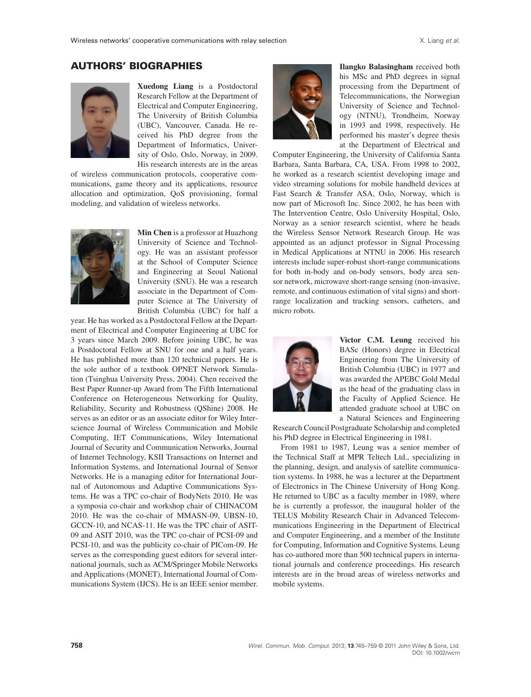# **AUTHORS' BIOGRAPHIES**



**Xuedong Liang** is a Postdoctoral Research Fellow at the Department of Electrical and Computer Engineering, The University of British Columbia (UBC), Vancouver, Canada. He received his PhD degree from the Department of Informatics, University of Oslo, Oslo, Norway, in 2009. His research interests are in the areas

of wireless communication protocols, cooperative communications, game theory and its applications, resource allocation and optimization, QoS provisioning, formal modeling, and validation of wireless networks.



**Min Chen** is a professor at Huazhong University of Science and Technology. He was an assistant professor at the School of Computer Science and Engineering at Seoul National University (SNU). He was a research associate in the Department of Computer Science at The University of British Columbia (UBC) for half a

year. He has worked as a Postdoctoral Fellow at the Department of Electrical and Computer Engineering at UBC for 3 years since March 2009. Before joining UBC, he was a Postdoctoral Fellow at SNU for one and a half years. He has published more than 120 technical papers. He is the sole author of a textbook OPNET Network Simulation (Tsinghua University Press, 2004). Chen received the Best Paper Runner-up Award from The Fifth International Conference on Heterogeneous Networking for Quality, Reliability, Security and Robustness (QShine) 2008. He serves as an editor or as an associate editor for Wiley Interscience Journal of Wireless Communication and Mobile Computing, IET Communications, Wiley International Journal of Security and Communication Networks, Journal of Internet Technology, KSII Transactions on Internet and Information Systems, and International Journal of Sensor Networks. He is a managing editor for International Journal of Autonomous and Adaptive Communications Systems. He was a TPC co-chair of BodyNets 2010. He was a symposia co-chair and workshop chair of CHINACOM 2010. He was the co-chair of MMASN-09, UBSN-10, GCCN-10, and NCAS-11. He was the TPC chair of ASIT-09 and ASIT 2010, was the TPC co-chair of PCSI-09 and PCSI-10, and was the publicity co-chair of PICom-09. He serves as the corresponding guest editors for several international journals, such as ACM/Springer Mobile Networks and Applications (MONET), International Journal of Communications System (IJCS). He is an IEEE senior member.



**Ilangko Balasingham** received both his MSc and PhD degrees in signal processing from the Department of Telecommunications, the Norwegian University of Science and Technology (NTNU), Trondheim, Norway in 1993 and 1998, respectively. He performed his master's degree thesis at the Department of Electrical and

Computer Engineering, the University of California Santa Barbara, Santa Barbara, CA, USA. From 1998 to 2002, he worked as a research scientist developing image and video streaming solutions for mobile handheld devices at Fast Search & Transfer ASA, Oslo, Norway, which is now part of Microsoft Inc. Since 2002, he has been with The Intervention Centre, Oslo University Hospital, Oslo, Norway as a senior research scientist, where he heads the Wireless Sensor Network Research Group. He was appointed as an adjunct professor in Signal Processing in Medical Applications at NTNU in 2006. His research interests include super-robust short-range communications for both in-body and on-body sensors, body area sensor network, microwave short-range sensing (non-invasive, remote, and continuous estimation of vital signs) and shortrange localization and tracking sensors, catheters, and micro robots.



**Victor C.M. Leung** received his BASc (Honors) degree in Electrical Engineering from The University of British Columbia (UBC) in 1977 and was awarded the APEBC Gold Medal as the head of the graduating class in the Faculty of Applied Science. He attended graduate school at UBC on a Natural Sciences and Engineering

Research Council Postgraduate Scholarship and completed his PhD degree in Electrical Engineering in 1981.

From 1981 to 1987, Leung was a senior member of the Technical Staff at MPR Teltech Ltd., specializing in the planning, design, and analysis of satellite communication systems. In 1988, he was a lecturer at the Department of Electronics in The Chinese University of Hong Kong. He returned to UBC as a faculty member in 1989, where he is currently a professor, the inaugural holder of the TELUS Mobility Research Chair in Advanced Telecommunications Engineering in the Department of Electrical and Computer Engineering, and a member of the Institute for Computing, Information and Cognitive Systems. Leung has co-authored more than 500 technical papers in international journals and conference proceedings. His research interests are in the broad areas of wireless networks and mobile systems.